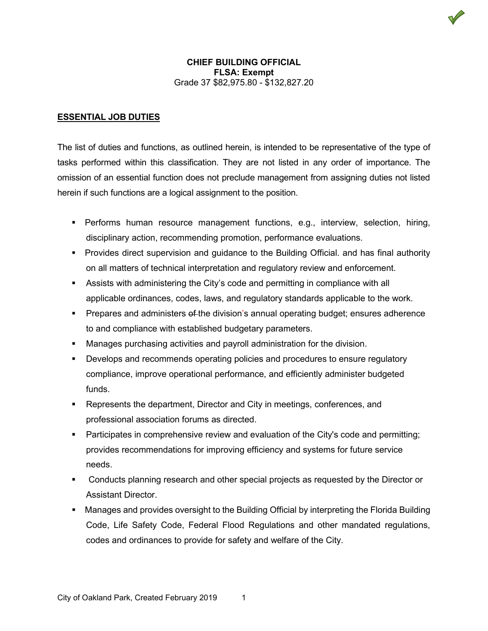

## **ESSENTIAL JOB DUTIES**

The list of duties and functions, as outlined herein, is intended to be representative of the type of tasks performed within this classification. They are not listed in any order of importance. The omission of an essential function does not preclude management from assigning duties not listed herein if such functions are a logical assignment to the position.

- Performs human resource management functions, e.g., interview, selection, hiring, disciplinary action, recommending promotion, performance evaluations.
- Provides direct supervision and guidance to the Building Official. and has final authority on all matters of technical interpretation and regulatory review and enforcement.
- Assists with administering the City's code and permitting in compliance with all applicable ordinances, codes, laws, and regulatory standards applicable to the work.
- **Prepares and administers of the division's annual operating budget; ensures adherence** to and compliance with established budgetary parameters.
- Manages purchasing activities and payroll administration for the division.
- **•** Develops and recommends operating policies and procedures to ensure regulatory compliance, improve operational performance, and efficiently administer budgeted funds.
- Represents the department, Director and City in meetings, conferences, and professional association forums as directed.
- Participates in comprehensive review and evaluation of the City's code and permitting; provides recommendations for improving efficiency and systems for future service needs.
- Conducts planning research and other special projects as requested by the Director or Assistant Director.
- Manages and provides oversight to the Building Official by interpreting the Florida Building Code, Life Safety Code, Federal Flood Regulations and other mandated regulations, codes and ordinances to provide for safety and welfare of the City.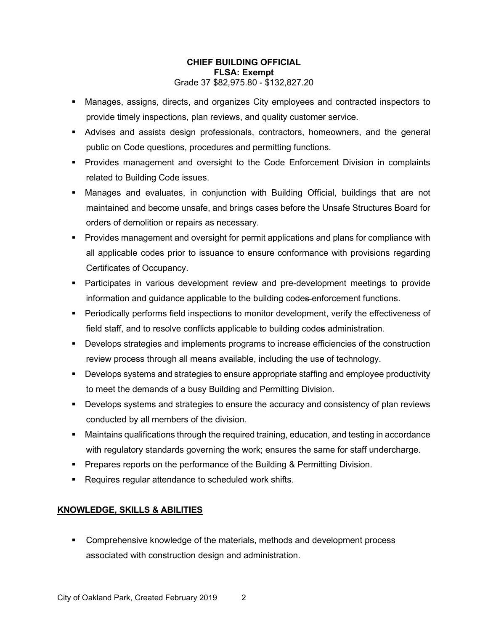- Manages, assigns, directs, and organizes City employees and contracted inspectors to provide timely inspections, plan reviews, and quality customer service.
- Advises and assists design professionals, contractors, homeowners, and the general public on Code questions, procedures and permitting functions.
- Provides management and oversight to the Code Enforcement Division in complaints related to Building Code issues.
- Manages and evaluates, in conjunction with Building Official, buildings that are not maintained and become unsafe, and brings cases before the Unsafe Structures Board for orders of demolition or repairs as necessary.
- Provides management and oversight for permit applications and plans for compliance with all applicable codes prior to issuance to ensure conformance with provisions regarding Certificates of Occupancy.
- **Participates in various development review and pre-development meetings to provide** information and guidance applicable to the building codes enforcement functions.
- Periodically performs field inspections to monitor development, verify the effectiveness of field staff, and to resolve conflicts applicable to building codes administration.
- **Develops strategies and implements programs to increase efficiencies of the construction** review process through all means available, including the use of technology.
- Develops systems and strategies to ensure appropriate staffing and employee productivity to meet the demands of a busy Building and Permitting Division.
- **Develops systems and strategies to ensure the accuracy and consistency of plan reviews** conducted by all members of the division.
- Maintains qualifications through the required training, education, and testing in accordance with regulatory standards governing the work; ensures the same for staff undercharge.
- **Prepares reports on the performance of the Building & Permitting Division.**
- Requires regular attendance to scheduled work shifts.

# **KNOWLEDGE, SKILLS & ABILITIES**

 Comprehensive knowledge of the materials, methods and development process associated with construction design and administration.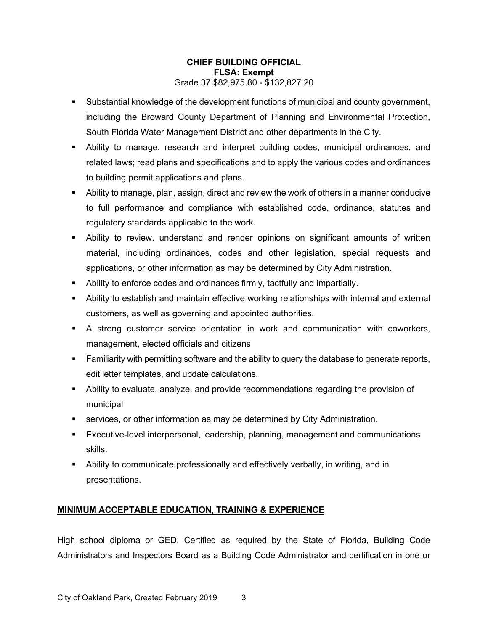- Substantial knowledge of the development functions of municipal and county government, including the Broward County Department of Planning and Environmental Protection, South Florida Water Management District and other departments in the City.
- Ability to manage, research and interpret building codes, municipal ordinances, and related laws; read plans and specifications and to apply the various codes and ordinances to building permit applications and plans.
- Ability to manage, plan, assign, direct and review the work of others in a manner conducive to full performance and compliance with established code, ordinance, statutes and regulatory standards applicable to the work.
- Ability to review, understand and render opinions on significant amounts of written material, including ordinances, codes and other legislation, special requests and applications, or other information as may be determined by City Administration.
- Ability to enforce codes and ordinances firmly, tactfully and impartially.
- Ability to establish and maintain effective working relationships with internal and external customers, as well as governing and appointed authorities.
- A strong customer service orientation in work and communication with coworkers, management, elected officials and citizens.
- **Familiarity with permitting software and the ability to query the database to generate reports,** edit letter templates, and update calculations.
- Ability to evaluate, analyze, and provide recommendations regarding the provision of municipal
- **Services, or other information as may be determined by City Administration.**
- Executive-level interpersonal, leadership, planning, management and communications skills.
- Ability to communicate professionally and effectively verbally, in writing, and in presentations.

# **MINIMUM ACCEPTABLE EDUCATION, TRAINING & EXPERIENCE**

High school diploma or GED. Certified as required by the State of Florida, Building Code Administrators and Inspectors Board as a Building Code Administrator and certification in one or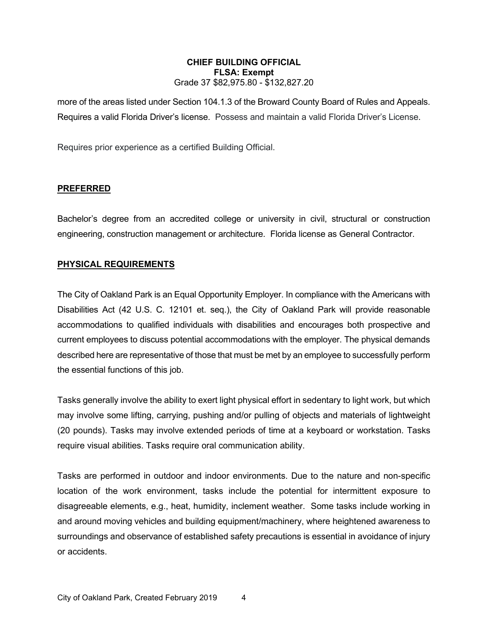more of the areas listed under Section 104.1.3 of the Broward County Board of Rules and Appeals. Requires a valid Florida Driver's license. Possess and maintain a valid Florida Driver's License.

Requires prior experience as a certified Building Official.

#### **PREFERRED**

Bachelor's degree from an accredited college or university in civil, structural or construction engineering, construction management or architecture. Florida license as General Contractor.

### **PHYSICAL REQUIREMENTS**

The City of Oakland Park is an Equal Opportunity Employer. In compliance with the Americans with Disabilities Act (42 U.S. C. 12101 et. seq.), the City of Oakland Park will provide reasonable accommodations to qualified individuals with disabilities and encourages both prospective and current employees to discuss potential accommodations with the employer. The physical demands described here are representative of those that must be met by an employee to successfully perform the essential functions of this job.

Tasks generally involve the ability to exert light physical effort in sedentary to light work, but which may involve some lifting, carrying, pushing and/or pulling of objects and materials of lightweight (20 pounds). Tasks may involve extended periods of time at a keyboard or workstation. Tasks require visual abilities. Tasks require oral communication ability.

Tasks are performed in outdoor and indoor environments. Due to the nature and non-specific location of the work environment, tasks include the potential for intermittent exposure to disagreeable elements, e.g., heat, humidity, inclement weather. Some tasks include working in and around moving vehicles and building equipment/machinery, where heightened awareness to surroundings and observance of established safety precautions is essential in avoidance of injury or accidents.